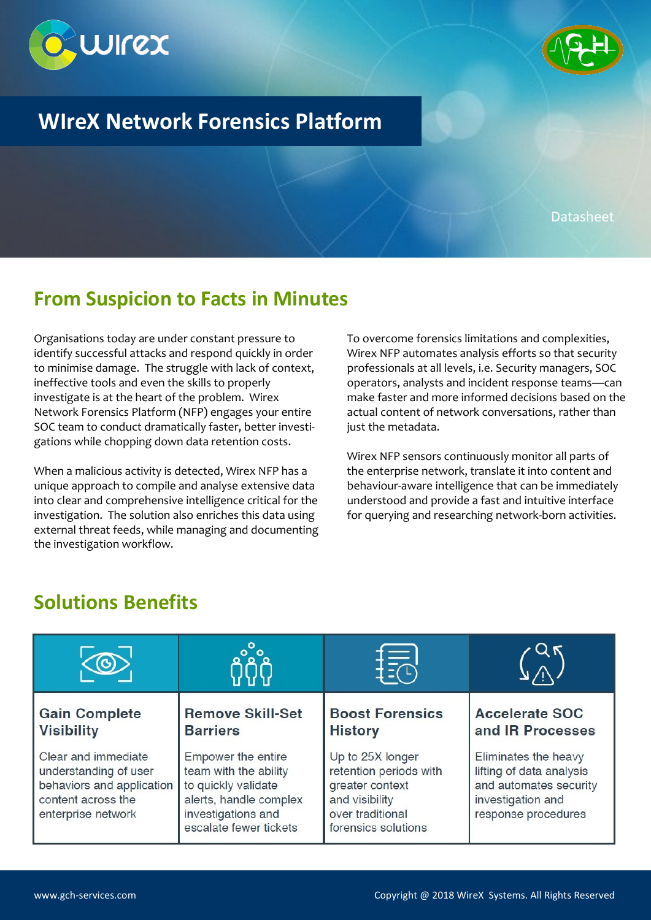



## **WIreX Network Forensics Platform**

Datasheet

#### **From Suspicion to Facts in Minutes**

Organisations today are under constant pressure to identify successful attacks and respond quickly in order to minimise damage. The struggle with lack of context, ineffective tools and even the skills to properly investigate is at the heart of the problem. Wirex Network Forensics Platform (NFP) engages your entire SOC team to conduct dramatically faster, better investigations while chopping down data retention costs.

When a malicious activity is detected, Wirex NFP has a unique approach to compile and analyse extensive data into clear and comprehensive intelligence critical for the investigation. The solution also enriches this data using external threat feeds, while managing and documenting the investigation workflow.

To overcome forensics limitations and complexities, Wirex NFP automates analysis efforts so that security professionals at all levels, i.e. Security managers, SOC operators, analysts and incident response teams—can make faster and more informed decisions based on the actual content of network conversations, rather than just the metadata.

Wirex NFP sensors continuously monitor all parts of the enterprise network, translate it into content and behaviour-aware intelligence that can be immediately understood and provide a fast and intuitive interface for querying and researching network-born activities.

#### **Solutions Benefits**

|                                                                                                                       |                                                                                                                                              | 最                                                                                                                          |                                                                                                                        |
|-----------------------------------------------------------------------------------------------------------------------|----------------------------------------------------------------------------------------------------------------------------------------------|----------------------------------------------------------------------------------------------------------------------------|------------------------------------------------------------------------------------------------------------------------|
| <b>Gain Complete</b><br><b>Visibility</b>                                                                             | <b>Remove Skill-Set</b><br><b>Barriers</b>                                                                                                   | <b>Boost Forensics</b><br><b>History</b>                                                                                   | <b>Accelerate SOC</b><br>and IR Processes                                                                              |
| Clear and immediate<br>understanding of user<br>behaviors and application<br>content across the<br>enterprise network | Empower the entire<br>team with the ability<br>to quickly validate<br>alerts, handle complex<br>investigations and<br>escalate fewer tickets | Up to 25X longer<br>retention periods with<br>greater context<br>and visibility<br>over traditional<br>forensics solutions | Eliminates the heavy<br>lifting of data analysis<br>and automates security<br>investigation and<br>response procedures |